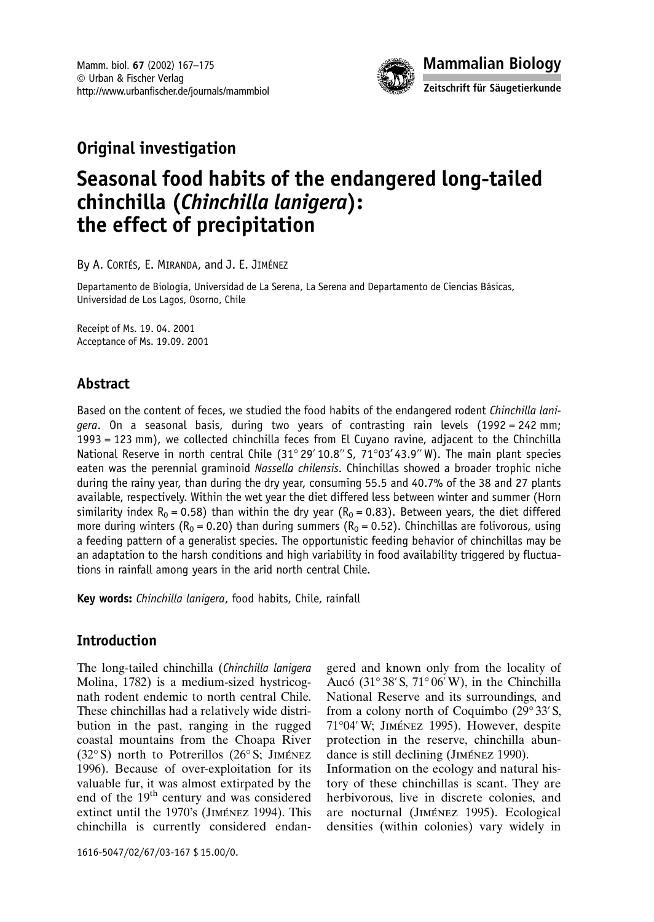

## **Original investigation**

# Seasonal food habits of the endangered long-tailed chinchilla (Chinchilla lanigera): the effect of precipitation

By A. CORTÉS, E. MIRANDA, and J. E. JIMÉNEZ

Departamento de Biología, Universidad de La Serena, La Serena and Departamento de Ciencias Básicas, Universidad de Los Lagos, Osorno, Chile

Receipt of Ms. 19. 04. 2001 Acceptance of Ms. 19.09. 2001

## Abstract

Based on the content of feces, we studied the food habits of the endangered rodent Chinchilla lanigera. On a seasonal basis, during two years of contrasting rain levels (1992 = 242 mm; 1993 = 123 mm), we collected chinchilla feces from El Cuyano ravine, adjacent to the Chinchilla National Reserve in north central Chile (31°29' 10.8" S, 71°03' 43.9" W). The main plant species eaten was the perennial graminoid Nassella chilensis. Chinchillas showed a broader trophic niche during the rainy year, than during the dry year, consuming 55.5 and 40.7% of the 38 and 27 plants available, respectively. Within the wet year the diet differed less between winter and summer (Horn similarity index R<sub>0</sub> = 0.58) than within the dry year (R<sub>0</sub> = 0.83). Between years, the diet differed more during winters ( $R_0$  = 0.20) than during summers ( $R_0$  = 0.52). Chinchillas are folivorous, using a feeding pattern of a generalist species. The opportunistic feeding behavior of chinchillas may be an adaptation to the harsh conditions and high variability in food availability triggered by fluctuations in rainfall among years in the arid north central Chile.

**Key words:** *Chinchilla lanigera*, food habits, Chile, rainfall

## **Introduction**

The long-tailed chinchilla (Chinchilla lanigera Molina, 1782) is a medium-sized hystricognath rodent endemic to north central Chile. These chinchillas had a relatively wide distribution in the past, ranging in the rugged coastal mountains from the Choapa River (32°S) north to Potrerillos (26°S; JIMÉNEZ 1996). Because of over-exploitation for its valuable fur, it was almost extirpated by the end of the 19<sup>th</sup> century and was considered extinct until the 1970's (JIMÉNEZ 1994). This chinchilla is currently considered endan-

1616-5047/02/67/03-167 \$15.00/0.

gered and known only from the locality of Aucó (31°38′ S, 71°06′ W), in the Chinchilla National Reserve and its surroundings, and from a colony north of Coquimbo  $(29^{\circ}33^{\prime}S,$ 71°04' W; JIMÉNEZ 1995). However, despite protection in the reserve, chinchilla abundance is still declining (JIMÉNEZ 1990). Information on the ecology and natural history of these chinchillas is scant. They are herbivorous, live in discrete colonies, and are nocturnal (JIMÉNEZ 1995). Ecological densities (within colonies) vary widely in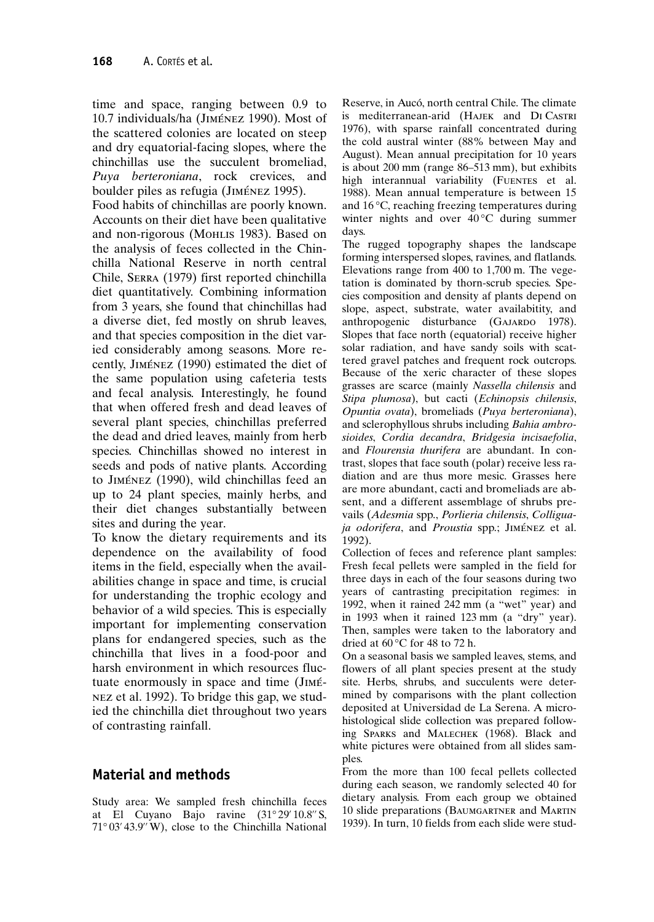time and space, ranging between 0.9 to 10.7 individuals/ha (JIMÉNEZ 1990). Most of the scattered colonies are located on steep and dry equatorial-facing slopes, where the chinchillas use the succulent bromeliad, Puya berteroniana, rock crevices, and boulder piles as refugia (JIMÉNEZ 1995).

Food habits of chinchillas are poorly known. Accounts on their diet have been qualitative and non-rigorous (MoHLIS 1983). Based on the analysis of feces collected in the Chinchilla National Reserve in north central Chile, SERRA (1979) first reported chinchilla diet quantitatively. Combining information from 3 years, she found that chinchillas had a diverse diet, fed mostly on shrub leaves, and that species composition in the diet varied considerably among seasons. More recently, JIMÉNEZ (1990) estimated the diet of the same population using cafeteria tests and fecal analysis. Interestingly, he found that when offered fresh and dead leaves of several plant species, chinchillas preferred the dead and dried leaves, mainly from herb species. Chinchillas showed no interest in seeds and pods of native plants. According to JIMÉNEZ (1990), wild chinchillas feed an up to 24 plant species, mainly herbs, and their diet changes substantially between sites and during the year.

To know the dietary requirements and its dependence on the availability of food items in the field, especially when the availabilities change in space and time, is crucial for understanding the trophic ecology and behavior of a wild species. This is especially important for implementing conservation plans for endangered species, such as the chinchilla that lives in a food-poor and harsh environment in which resources fluctuate enormously in space and time (JIMÉ-NEZ et al. 1992). To bridge this gap, we studied the chinchilla diet throughout two years of contrasting rainfall.

## **Material and methods**

Study area: We sampled fresh chinchilla feces at El Cuvano Baio ravine (31°29'10.8" S. 71°03'43.9" W), close to the Chinchilla National Reserve, in Aucó, north central Chile. The climate is mediterranean-arid (HAJEK and DI CASTRI 1976), with sparse rainfall concentrated during the cold austral winter (88% between May and August). Mean annual precipitation for 10 years is about 200 mm (range 86-513 mm), but exhibits high interannual variability (FUENTES et al. 1988). Mean annual temperature is between 15 and  $16^{\circ}$ C, reaching freezing temperatures during winter nights and over  $40^{\circ}$ C during summer days.

The rugged topography shapes the landscape forming interspersed slopes, ravines, and flatlands. Elevations range from 400 to 1,700 m. The vegetation is dominated by thorn-scrub species. Species composition and density af plants depend on slope, aspect, substrate, water availabitity, and anthropogenic disturbance (GAJARDO 1978). Slopes that face north (equatorial) receive higher solar radiation, and have sandy soils with scattered gravel patches and frequent rock outcrops. Because of the xeric character of these slopes grasses are scarce (mainly Nassella chilensis and Stipa plumosa), but cacti (Echinopsis chilensis, Opuntia ovata), bromeliads (Puya berteroniana), and sclerophyllous shrubs including Bahia ambrosioides, Cordia decandra, Bridgesia incisaefolia, and Flourensia thurifera are abundant. In contrast, slopes that face south (polar) receive less radiation and are thus more mesic. Grasses here are more abundant, cacti and bromeliads are absent, and a different assemblage of shrubs prevails (Adesmia spp., Porlieria chilensis, Colliguaja odorifera, and Proustia spp.; JIMÉNEZ et al. 1992).

Collection of feces and reference plant samples: Fresh fecal pellets were sampled in the field for three days in each of the four seasons during two years of cantrasting precipitation regimes: in 1992, when it rained 242 mm (a "wet" year) and in 1993 when it rained 123 mm (a "dry" year). Then, samples were taken to the laboratory and dried at  $60^{\circ}$ C for 48 to 72 h.

On a seasonal basis we sampled leaves, stems, and flowers of all plant species present at the study site. Herbs, shrubs, and succulents were determined by comparisons with the plant collection deposited at Universidad de La Serena. A microhistological slide collection was prepared following SPARKS and MALECHEK (1968). Black and white pictures were obtained from all slides samples.

From the more than 100 fecal pellets collected during each season, we randomly selected 40 for dietary analysis. From each group we obtained 10 slide preparations (BAUMGARTNER and MARTIN 1939). In turn, 10 fields from each slide were stud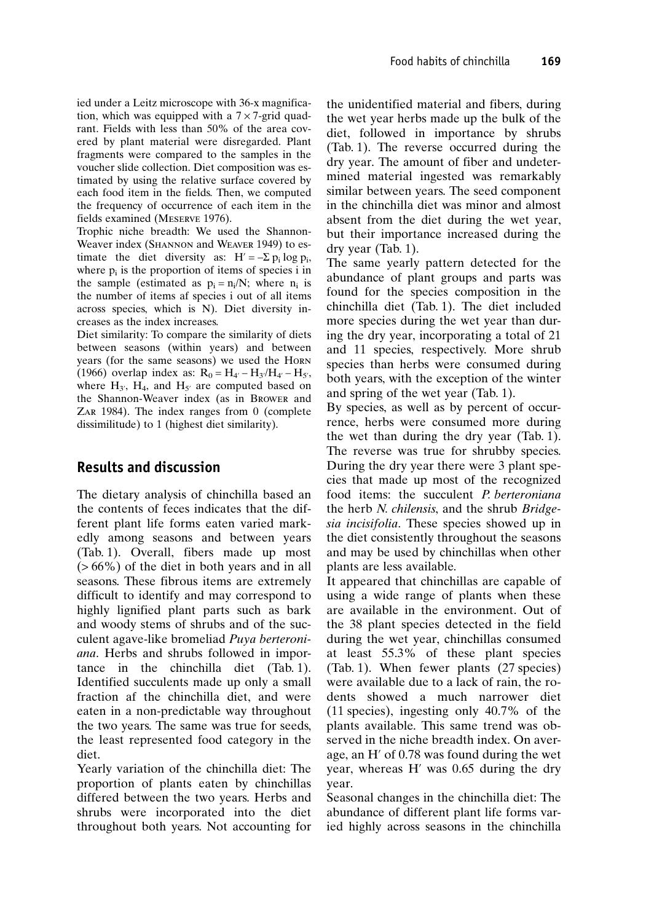ied under a Leitz microscope with 36-x magnification, which was equipped with a  $7 \times 7$ -grid quadrant. Fields with less than 50% of the area covered by plant material were disregarded. Plant fragments were compared to the samples in the voucher slide collection. Diet composition was estimated by using the relative surface covered by each food item in the fields. Then, we computed the frequency of occurrence of each item in the fields examined (MESERVE 1976).

Trophic niche breadth: We used the Shannon-Weaver index (SHANNON and WEAVER 1949) to estimate the diet diversity as:  $H' = -\sum p_i \log p_i$ , where  $p_i$  is the proportion of items of species i in the sample (estimated as  $p_i = n_i/N$ ; where  $n_i$  is the number of items af species i out of all items across species, which is N). Diet diversity increases as the index increases.

Diet similarity: To compare the similarity of diets between seasons (within years) and between years (for the same seasons) we used the HORN (1966) overlap index as:  $R_0 = H_{4'} - H_{3'}/H_{4'} - H_{5'}$ , where  $H_3$ ,  $H_4$ , and  $H_5$  are computed based on the Shannon-Weaver index (as in Brower and ZAR 1984). The index ranges from  $0$  (complete dissimilitude) to 1 (highest diet similarity).

### **Results and discussion**

The dietary analysis of chinchilla based an the contents of feces indicates that the different plant life forms eaten varied markedly among seasons and between years (Tab. 1). Overall, fibers made up most  $($  > 66%) of the diet in both years and in all seasons. These fibrous items are extremely difficult to identify and may correspond to highly lignified plant parts such as bark and woody stems of shrubs and of the succulent agave-like bromeliad Puya berteroniana. Herbs and shrubs followed in importance in the chinchilla diet (Tab. 1). Identified succulents made up only a small fraction af the chinchilla diet, and were eaten in a non-predictable way throughout the two years. The same was true for seeds, the least represented food category in the diet.

Yearly variation of the chinchilla diet: The proportion of plants eaten by chinchillas differed between the two years. Herbs and shrubs were incorporated into the diet throughout both years. Not accounting for the unidentified material and fibers, during the wet year herbs made up the bulk of the diet, followed in importance by shrubs (Tab. 1). The reverse occurred during the dry year. The amount of fiber and undetermined material ingested was remarkably similar between years. The seed component in the chinchilla diet was minor and almost absent from the diet during the wet year, but their importance increased during the  $\text{dry year (Tab. 1)}$ .

The same yearly pattern detected for the abundance of plant groups and parts was found for the species composition in the chinchilla diet (Tab. 1). The diet included more species during the wet year than during the dry year, incorporating a total of 21 and 11 species, respectively. More shrub species than herbs were consumed during both years, with the exception of the winter and spring of the wet year (Tab. 1).

By species, as well as by percent of occurrence, herbs were consumed more during the wet than during the dry year (Tab. 1). The reverse was true for shrubby species. During the dry year there were 3 plant species that made up most of the recognized food items: the succulent *P. berteroniana* the herb N. chilensis, and the shrub Bridgesia incisifolia. These species showed up in the diet consistently throughout the seasons and may be used by chinchillas when other plants are less available.

It appeared that chinchillas are capable of using a wide range of plants when these are available in the environment. Out of the 38 plant species detected in the field during the wet year, chinchillas consumed at least 55.3% of these plant species (Tab. 1). When fewer plants (27 species) were available due to a lack of rain, the rodents showed a much narrower diet  $(11$  species), ingesting only 40.7% of the plants available. This same trend was observed in the niche breadth index. On average, an H' of 0.78 was found during the wet year, whereas H' was 0.65 during the dry vear.

Seasonal changes in the chinchilla diet: The abundance of different plant life forms varied highly across seasons in the chinchilla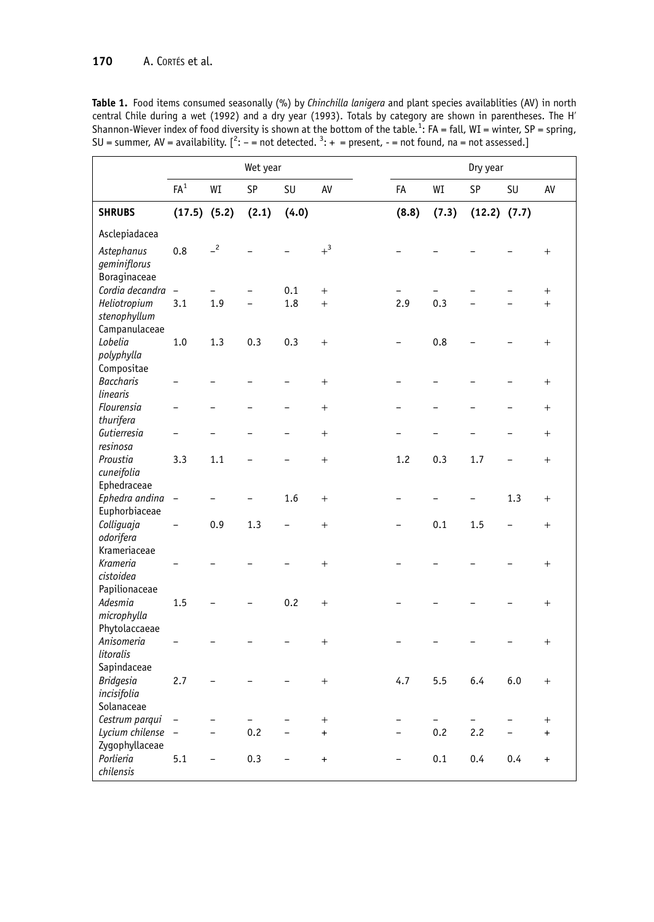Table 1. Food items consumed seasonally (%) by Chinchilla lanigera and plant species availablities (AV) in north central Chile during a wet (1992) and a dry year (1993). Totals by category are shown in parentheses. The H'<br>Shannon-Wiever index of food diversity is shown at the bottom of the table.<sup>1</sup>: FA = fall, WI = winter, SP = spr

|                                                              |                          |                          | Wet year |           |                  | Dry year |       |                  |                          |                 |
|--------------------------------------------------------------|--------------------------|--------------------------|----------|-----------|------------------|----------|-------|------------------|--------------------------|-----------------|
|                                                              | $\mathsf{FA}^1$          | WI                       | SP       | <b>SU</b> | AV               | FA       | WI    | SP               | <b>SU</b>                | AV              |
| <b>SHRUBS</b>                                                | $(17.5)$ $(5.2)$         |                          | (2.1)    | (4.0)     |                  | (8.8)    | (7.3) | $(12.2)$ $(7.7)$ |                          |                 |
| Asclepiadacea                                                |                          |                          |          |           |                  |          |       |                  |                          |                 |
| Astephanus<br>geminiflorus<br>Boraginaceae                   | 0.8                      | $-2$                     |          |           | $+$ <sup>3</sup> |          |       |                  |                          | $\! + \!\!\!\!$ |
| Cordia decandra -                                            |                          |                          |          | 0.1       | $^{+}$           |          |       |                  |                          | $^{+}$          |
| Heliotropium<br>stenophyllum<br>Campanulaceae                | 3.1                      | 1.9                      |          | 1.8       | $^{+}$           | 2.9      | 0.3   |                  |                          | $^{+}$          |
| Lobelia<br>polyphylla                                        | 1.0                      | 1.3                      | 0.3      | 0.3       | $^{+}$           |          | 0.8   |                  |                          | $^{+}$          |
| Compositae<br><b>Baccharis</b><br>linearis                   |                          |                          |          |           | $^{+}$           |          |       |                  |                          | $^{+}$          |
| Flourensia<br>thurifera                                      |                          |                          |          |           | $^{+}$           |          |       |                  |                          | $^{+}$          |
| Gutierresia                                                  |                          |                          |          |           | $^{+}$           |          |       |                  |                          | $+$             |
| resinosa<br>Proustia<br>cuneifolia                           | 3.3                      | 1.1                      |          |           | $^{+}$           | 1.2      | 0.3   | 1.7              | $\overline{\phantom{0}}$ | $^{+}$          |
| Ephedraceae<br>Ephedra andina -<br>Euphorbiaceae             |                          |                          |          | 1.6       | $^{+}$           |          |       |                  | 1.3                      | $^{+}$          |
| Colliquaja<br>odorifera                                      | $\overline{\phantom{0}}$ | 0.9                      | 1.3      |           | $^{+}$           |          | 0.1   | 1.5              |                          | $^{+}$          |
| Krameriaceae<br>Krameria<br>cistoidea                        |                          |                          |          |           | $^{+}$           |          |       |                  |                          | $^{+}$          |
| Papilionaceae<br>Adesmia<br>microphylla                      | 1.5                      |                          |          | 0.2       | $^{+}$           |          |       |                  |                          | $^{+}$          |
| Phytolaccaeae<br>Anisomeria<br>litoralis                     |                          |                          |          |           | $^{+}$           |          |       |                  |                          | $^{+}$          |
| Sapindaceae<br><b>Bridgesia</b><br>incisifolia<br>Solanaceae | 2.7                      |                          |          |           | $^{+}$           | 4.7      | 5.5   | 6.4              | 6.0                      | $^{+}$          |
| Cestrum parqui                                               |                          |                          |          |           | $^{+}$           |          |       |                  |                          | $^{+}$          |
| Lycium chilense<br>Zygophyllaceae                            | $\equiv$                 | $\overline{\phantom{0}}$ | 0.2      | $\equiv$  | $\ddot{}$        | $\equiv$ | 0.2   | 2.2              | $\overline{a}$           | $\ddot{}$       |
| Porlieria<br>chilensis                                       | 5.1                      | $\overline{\phantom{0}}$ | 0.3      |           | $\ddot{}$        |          | 0.1   | 0.4              | 0.4                      | $\ddot{}$       |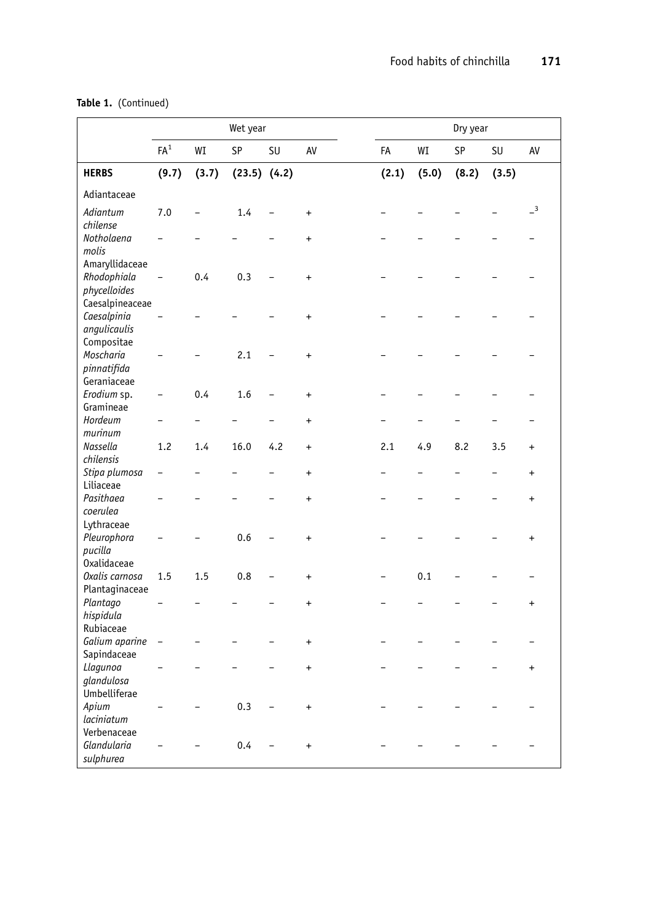|                                                              | Wet year          |       |                  |           |           | Dry year |       |       |           |                            |
|--------------------------------------------------------------|-------------------|-------|------------------|-----------|-----------|----------|-------|-------|-----------|----------------------------|
|                                                              | $\mathsf{FA}^1$   | WI    | SP               | <b>SU</b> | AV        | FA       | WI    | SP    | <b>SU</b> | AV                         |
| <b>HERBS</b>                                                 | (9.7)             | (3.7) | $(23.5)$ $(4.2)$ |           |           | (2.1)    | (5.0) | (8.2) | (3.5)     |                            |
| Adiantaceae                                                  |                   |       |                  |           |           |          |       |       |           |                            |
| Adiantum<br>chilense                                         | 7.0               |       | 1.4              |           | $\ddot{}$ |          |       |       |           | $\overline{\phantom{0}}^3$ |
| Notholaena<br>molis                                          |                   |       |                  |           | $\ddot{}$ |          |       |       |           |                            |
| Amaryllidaceae<br>Rhodophiala<br>phycelloides                | $\overline{a}$    | 0.4   | 0.3              |           | $\ddot{}$ |          |       |       |           |                            |
| Caesalpineaceae<br>Caesalpinia<br>angulicaulis<br>Compositae |                   |       |                  |           | $\ddot{}$ |          |       |       |           |                            |
| Moscharia<br>pinnatifida<br>Geraniaceae                      |                   |       | 2.1              |           | $\ddot{}$ |          |       |       |           |                            |
| Erodium sp.<br>Gramineae                                     |                   | 0.4   | 1.6              |           | $\ddot{}$ |          |       |       |           |                            |
| Hordeum<br>murinum                                           |                   |       |                  |           | $\ddot{}$ |          |       |       |           |                            |
| Nassella<br>chilensis                                        | 1.2               | 1.4   | 16.0             | 4.2       | $\ddot{}$ | 2.1      | 4.9   | 8.2   | 3.5       | $\ddot{}$                  |
| Stipa plumosa<br>Liliaceae                                   |                   |       |                  |           | $\ddot{}$ |          |       |       |           | $\ddot{}$                  |
| Pasithaea<br>coerulea<br>Lythraceae                          |                   |       |                  |           | $\ddot{}$ |          |       |       |           | $\pmb{+}$                  |
| Pleurophora<br>pucilla                                       |                   |       | 0.6              |           | $\ddot{}$ |          |       |       |           | $\ddot{}$                  |
| <b>Oxalidaceae</b><br>Oxalis carnosa<br>Plantaginaceae       | 1.5               | 1.5   | 0.8              |           | $\ddot{}$ |          | 0.1   |       |           |                            |
| Plantago<br>hispidula<br>Rubiaceae                           |                   |       |                  |           | $\ddot{}$ |          |       |       |           | $\ddot{}$                  |
| Galium aparine<br>Sapindaceae                                | $\qquad \qquad -$ |       |                  |           | $\ddot{}$ |          |       |       |           |                            |
| Llagunoa<br>glandulosa<br>Umbelliferae                       |                   |       |                  |           | $\ddot{}$ |          |       |       |           | $\pmb{+}$                  |
| Apium<br>laciniatum<br>Verbenaceae                           |                   |       | 0.3              |           | $\ddot{}$ |          |       |       |           |                            |
| Glandularia<br>sulphurea                                     |                   |       | 0.4              |           | $\ddot{}$ |          |       |       |           |                            |

## Table 1. (Continued)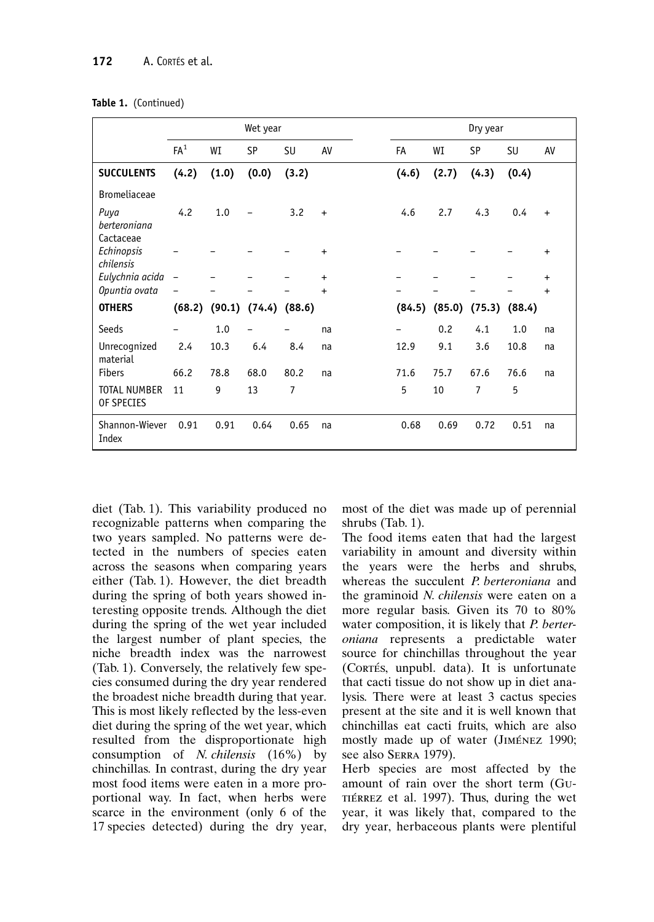|                                   |                          |               | Wet year  |        |           | Dry year |        |        |        |           |  |
|-----------------------------------|--------------------------|---------------|-----------|--------|-----------|----------|--------|--------|--------|-----------|--|
|                                   | FA <sup>1</sup>          | WI            | <b>SP</b> | SU     | AV        | FA       | WI     | SP     | SU     | AV        |  |
| <b>SUCCULENTS</b>                 | (4.2)                    | (1.0)         | (0.0)     | (3.2)  |           | (4.6)    | (2.7)  | (4.3)  | (0.4)  |           |  |
| <b>Bromeliaceae</b>               |                          |               |           |        |           |          |        |        |        |           |  |
| Puya<br>berteroniana<br>Cactaceae | 4.2                      | 1.0           |           | 3.2    | $\ddot{}$ | 4.6      | 2.7    | 4.3    | 0.4    | $\ddot{}$ |  |
| Echinopsis<br>chilensis           |                          |               |           |        | $+$       |          |        |        |        | $\ddot{}$ |  |
| Eulychnia acida                   | $\overline{\phantom{a}}$ |               |           |        | $\ddot{}$ |          |        |        |        | $\ddot{}$ |  |
| Opuntia ovata                     |                          |               |           |        | $\ddot{}$ |          |        |        |        | $\ddot{}$ |  |
| <b>OTHERS</b>                     |                          | (68.2) (90.1) | (74.4)    | (88.6) |           | (84.5)   | (85.0) | (75.3) | (88.4) |           |  |
| Seeds                             |                          | 1.0           |           |        | na        | -        | 0.2    | 4.1    | 1.0    | na        |  |
| Unrecognized<br>material          | 2.4                      | 10.3          | 6.4       | 8.4    | na        | 12.9     | 9.1    | 3.6    | 10.8   | na        |  |
| <b>Fibers</b>                     | 66.2                     | 78.8          | 68.0      | 80.2   | na        | 71.6     | 75.7   | 67.6   | 76.6   | na        |  |
| <b>TOTAL NUMBER</b><br>OF SPECIES | 11                       | 9             | 13        | 7      |           | 5        | 10     | 7      | 5      |           |  |
| Shannon-Wiever<br>Index           | 0.91                     | 0.91          | 0.64      | 0.65   | na        | 0.68     | 0.69   | 0.72   | 0.51   | na        |  |

diet (Tab. 1). This variability produced no recognizable patterns when comparing the two years sampled. No patterns were detected in the numbers of species eaten across the seasons when comparing years either (Tab. 1). However, the diet breadth during the spring of both years showed interesting opposite trends. Although the diet during the spring of the wet year included the largest number of plant species, the niche breadth index was the narrowest (Tab. 1). Conversely, the relatively few species consumed during the dry year rendered the broadest niche breadth during that year. This is most likely reflected by the less-even diet during the spring of the wet year, which resulted from the disproportionate high consumption of N. chilensis (16%) by chinchillas. In contrast, during the dry year most food items were eaten in a more proportional way. In fact, when herbs were scarce in the environment (only 6 of the 17 species detected) during the dry year, most of the diet was made up of perennial shrubs (Tab. 1).

The food items eaten that had the largest variability in amount and diversity within the years were the herbs and shrubs, whereas the succulent P. berteroniana and the graminoid N. chilensis were eaten on a more regular basis. Given its 70 to 80% water composition, it is likely that P. berteroniana represents a predictable water source for chinchillas throughout the year (CORTÉS, unpubl. data). It is unfortunate that cacti tissue do not show up in diet analysis. There were at least 3 cactus species present at the site and it is well known that chinchillas eat cacti fruits, which are also mostly made up of water (JIMÉNEZ 1990; see also SERRA 1979).

Herb species are most affected by the amount of rain over the short term (Gu-TIÉRREZ et al. 1997). Thus, during the wet year, it was likely that, compared to the dry year, herbaceous plants were plentiful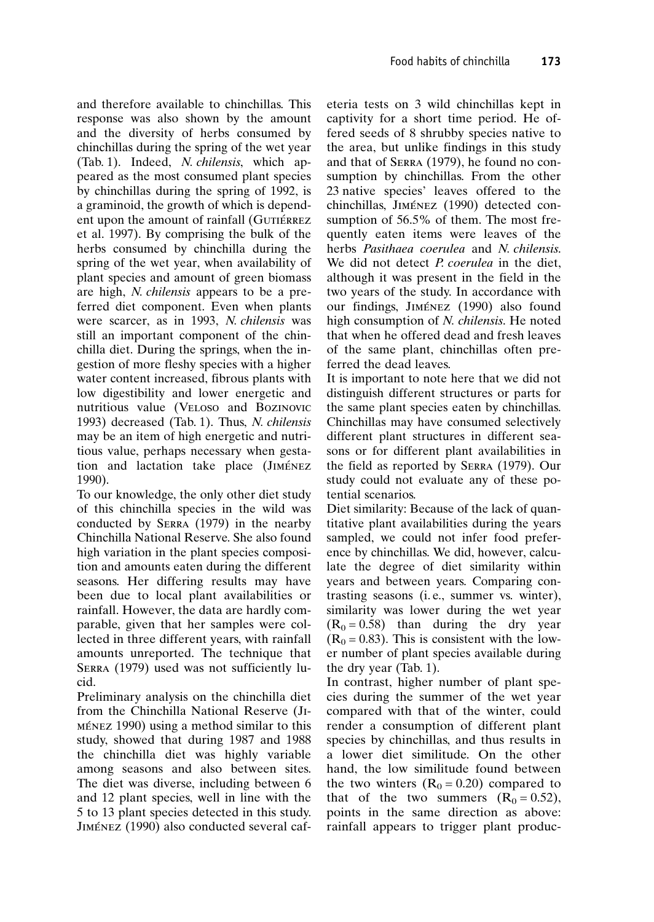and therefore available to chinchillas. This response was also shown by the amount and the diversity of herbs consumed by chinchillas during the spring of the wet year (Tab. 1). Indeed, N. chilensis, which appeared as the most consumed plant species by chinchillas during the spring of 1992, is a graminoid, the growth of which is dependent upon the amount of rainfall (GUTIÉRREZ et al. 1997). By comprising the bulk of the herbs consumed by chinchilla during the spring of the wet year, when availability of plant species and amount of green biomass are high, N. chilensis appears to be a preferred diet component. Even when plants were scarcer, as in 1993, N. chilensis was still an important component of the chinchilla diet. During the springs, when the ingestion of more fleshy species with a higher water content increased, fibrous plants with low digestibility and lower energetic and nutritious value (VELOSO and BOZINOVIC 1993) decreased (Tab. 1). Thus, N. chilensis may be an item of high energetic and nutritious value, perhaps necessary when gestation and lactation take place (JIMÉNEZ 1990).

To our knowledge, the only other diet study of this chinchilla species in the wild was conducted by SERRA (1979) in the nearby Chinchilla National Reserve. She also found high variation in the plant species composition and amounts eaten during the different seasons. Her differing results may have been due to local plant availabilities or rainfall. However, the data are hardly comparable, given that her samples were collected in three different years, with rainfall amounts unreported. The technique that SERRA (1979) used was not sufficiently lucid.

Preliminary analysis on the chinchilla diet from the Chinchilla National Reserve (JI-MÉNEZ 1990) using a method similar to this study, showed that during 1987 and 1988 the chinchilla diet was highly variable among seasons and also between sites. The diet was diverse, including between 6 and 12 plant species, well in line with the 5 to 13 plant species detected in this study. JIMÉNEZ (1990) also conducted several cafeteria tests on 3 wild chinchillas kept in captivity for a short time period. He offered seeds of 8 shrubby species native to the area, but unlike findings in this study and that of SERRA (1979), he found no consumption by chinchillas. From the other 23 native species' leaves offered to the chinchillas, JIMÉNEZ (1990) detected consumption of 56.5% of them. The most frequently eaten items were leaves of the herbs Pasithaea coerulea and N. chilensis. We did not detect *P. coerulea* in the diet. although it was present in the field in the two years of the study. In accordance with our findings, JIMÉNEZ (1990) also found high consumption of N. chilensis. He noted that when he offered dead and fresh leaves of the same plant, chinchillas often preferred the dead leaves.

It is important to note here that we did not distinguish different structures or parts for the same plant species eaten by chinchillas. Chinchillas may have consumed selectively different plant structures in different seasons or for different plant availabilities in the field as reported by SERRA (1979). Our study could not evaluate any of these potential scenarios.

Diet similarity: Because of the lack of quantitative plant availabilities during the years sampled, we could not infer food preference by chinchillas. We did, however, calculate the degree of diet similarity within years and between years. Comparing contrasting seasons (i.e., summer vs. winter), similarity was lower during the wet year  $(R_0 = 0.58)$  than during the dry year  $(R<sub>0</sub> = 0.83)$ . This is consistent with the lower number of plant species available during the dry year (Tab. 1).

In contrast, higher number of plant species during the summer of the wet year compared with that of the winter, could render a consumption of different plant species by chinchillas, and thus results in a lower diet similitude. On the other hand, the low similitude found between the two winters  $(R_0 = 0.20)$  compared to that of the two summers  $(R_0 = 0.52)$ , points in the same direction as above: rainfall appears to trigger plant produc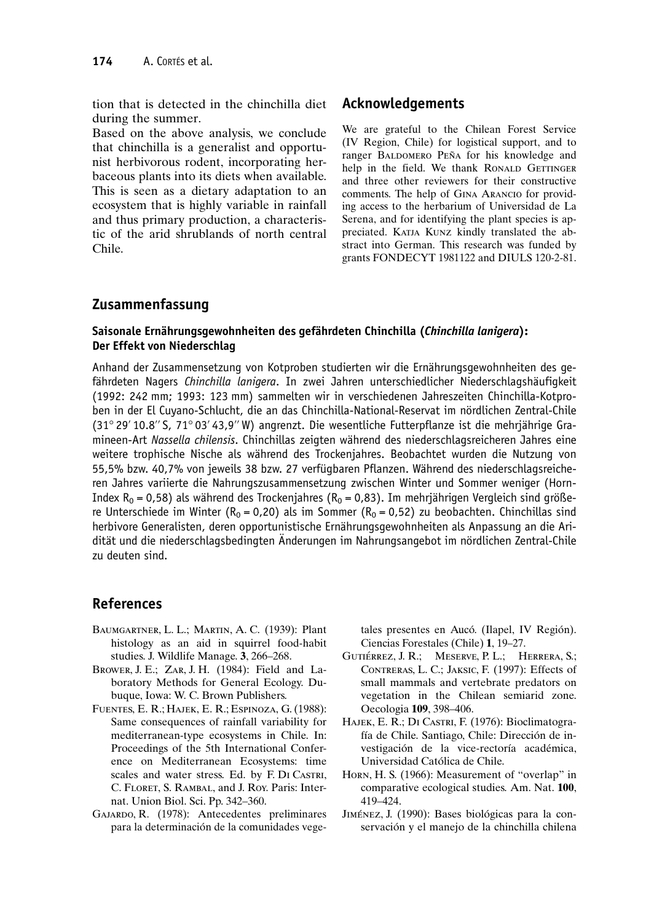tion that is detected in the chinchilla diet during the summer.

Based on the above analysis, we conclude that chinchilla is a generalist and opportunist herbivorous rodent, incorporating herbaceous plants into its diets when available. This is seen as a dietary adaptation to an ecosystem that is highly variable in rainfall and thus primary production, a characteristic of the arid shrublands of north central Chile.

#### Acknowledgements

We are grateful to the Chilean Forest Service (IV Region, Chile) for logistical support, and to ranger BALDOMERO PEÑA for his knowledge and help in the field. We thank RONALD GETTINGER and three other reviewers for their constructive comments. The help of GINA ARANCIO for providing access to the herbarium of Universidad de La Serena, and for identifying the plant species is appreciated. KATJA KUNZ kindly translated the abstract into German. This research was funded by grants FONDECYT 1981122 and DIULS 120-2-81.

#### Zusammenfassung

#### Saisonale Ernährungsgewohnheiten des gefährdeten Chinchilla (Chinchilla lanigera): Der Effekt von Niederschlag

Anhand der Zusammensetzung von Kotproben studierten wir die Ernährungsgewohnheiten des gefährdeten Nagers Chinchilla lanigera. In zwei Jahren unterschiedlicher Niederschlagshäufigkeit (1992: 242 mm; 1993: 123 mm) sammelten wir in verschiedenen Jahreszeiten Chinchilla-Kotproben in der El Cuyano-Schlucht, die an das Chinchilla-National-Reservat im nördlichen Zentral-Chile (31° 29' 10.8" S, 71° 03' 43,9" W) angrenzt. Die wesentliche Futterpflanze ist die mehrjährige Gramineen-Art Nassella chilensis. Chinchillas zeigten während des niederschlagsreicheren Jahres eine weitere trophische Nische als während des Trockenjahres. Beobachtet wurden die Nutzung von 55,5% bzw. 40,7% von jeweils 38 bzw. 27 verfügbaren Pflanzen. Während des niederschlagsreicheren Jahres variierte die Nahrungszusammensetzung zwischen Winter und Sommer weniger (Horn-Index R<sub>0</sub> = 0,58) als während des Trockenjahres (R<sub>0</sub> = 0,83). Im mehrjährigen Vergleich sind größere Unterschiede im Winter (R<sub>0</sub> = 0,20) als im Sommer (R<sub>0</sub> = 0,52) zu beobachten. Chinchillas sind herbivore Generalisten, deren opportunistische Ernährungsgewohnheiten als Anpassung an die Aridität und die niederschlagsbedingten Änderungen im Nahrungsangebot im nördlichen Zentral-Chile zu deuten sind.

### **References**

- BAUMGARTNER, L. L.; MARTIN, A. C. (1939): Plant histology as an aid in squirrel food-habit studies. J. Wildlife Manage. 3, 266-268.
- BROWER, J. E.; ZAR, J. H. (1984): Field and Laboratory Methods for General Ecology. Dubuque, Iowa: W. C. Brown Publishers.
- FUENTES, E. R.; HAJEK, E. R.; ESPINOZA, G. (1988): Same consequences of rainfall variability for mediterranean-type ecosystems in Chile. In: Proceedings of the 5th International Conference on Mediterranean Ecosystems: time scales and water stress. Ed. by F. DI CASTRI, C. FLORET, S. RAMBAL, and J. Roy. Paris: Internat. Union Biol. Sci. Pp. 342-360.
- GAJARDO, R. (1978): Antecedentes preliminares para la determinación de la comunidades vege-

tales presentes en Aucó. (Ilapel, IV Región). Ciencias Forestales (Chile) 1, 19-27.

- GUTIÉRREZ, J. R.; MESERVE, P. L.; HERRERA, S.; CONTRERAS, L. C.; JAKSIC, F. (1997): Effects of small mammals and vertebrate predators on vegetation in the Chilean semiarid zone. Oecologia 109, 398-406.
- HAJEK, E. R.; DI CASTRI, F. (1976): Bioclimatografía de Chile. Santiago, Chile: Dirección de investigación de la vice-rectoría académica, Universidad Católica de Chile.
- HORN, H. S. (1966): Measurement of "overlap" in comparative ecological studies. Am. Nat. 100, 419-424.
- JIMÉNEZ, J. (1990): Bases biológicas para la conservación y el manejo de la chinchilla chilena